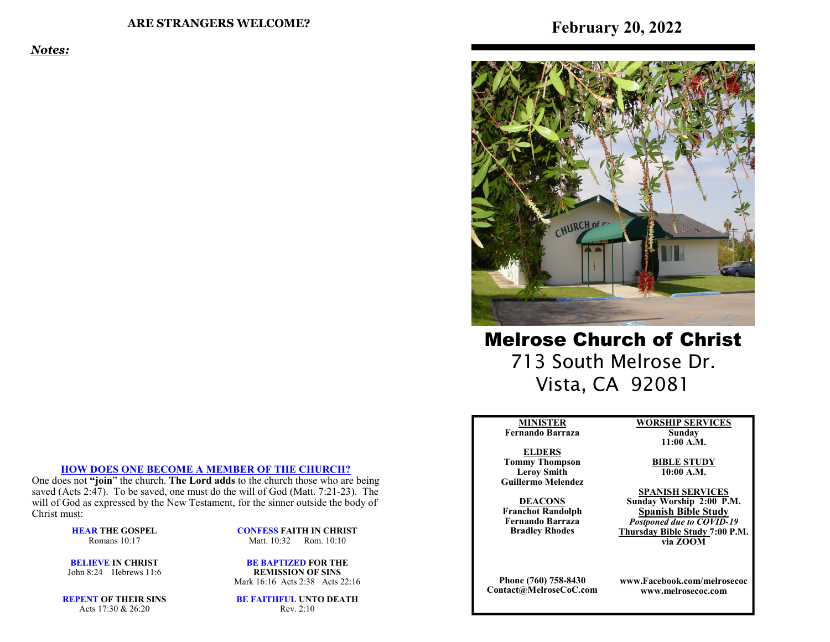*Notes:*



Melrose Church of Christ 713 South Melrose Dr. Vista, CA 92081

#### **MINISTERFernando Barraza**

**ELDERS Tommy Thompson Leroy SmithGuillermo Melendez** 

**DEACONS Franchot Randolph Fernando BarrazaBradley Rhodes**

**SPANISH SERVICES Sunday Worship 2:00 P.M.Spanish Bible Study**

**Sunday 11:00 A.M. BIBLE STUDY10:00 A.M.** 

 *Postponed due to COVID-19*  **Thursday Bible Study 7:00 P.M.via ZOOM**

**www.Facebook.com/melrosecocwww.melrosecoc.com**

**Phone (760) 758-8430Contact@MelroseCoC.com** **WORSHIP SERVICES**

#### **HOW DOES ONE BECOME A MEMBER OF THE CHURCH?**

 One does not **"join**" the church. **The Lord adds** to the church those who are being saved (Acts 2:47). To be saved, one must do the will of God (Matt. 7:21-23). The will of God as expressed by the New Testament, for the sinner outside the body of Christ must:

> **HEAR THE GOSPEL**Romans 10:17

**CONFESS FAITH IN CHRIST**Matt. 10:32 Rom. 10:10

**BELIEVE IN CHRIST**John 8:24 Hebrews 11:6

**BE BAPTIZED FOR THE REMISSION OF SINS**Mark 16:16 Acts 2:38 Acts 22:16

**REPENT OF THEIR SINS**Acts 17:30 & 26:20

**BE FAITHFUL UNTO DEATH**Rev. 2:10